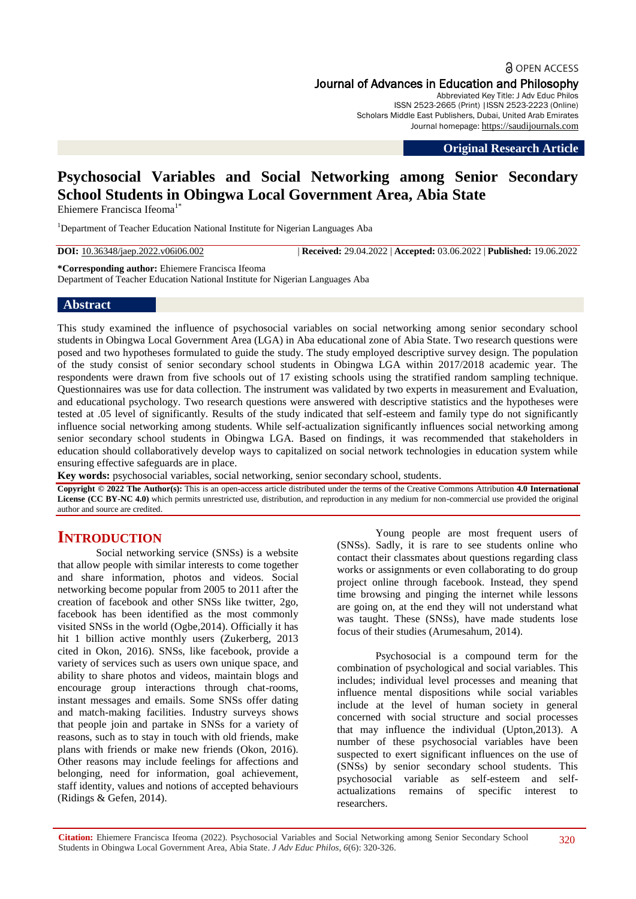**a** OPEN ACCESS Journal of Advances in Education and Philosophy Abbreviated Key Title: J Adv Educ Philos

ISSN 2523-2665 (Print) |ISSN 2523-2223 (Online) Scholars Middle East Publishers, Dubai, United Arab Emirates Journal homepage: [https://saudijournals.com](https://saudijournals.com/jaep)

**Original Research Article**

# **Psychosocial Variables and Social Networking among Senior Secondary School Students in Obingwa Local Government Area, Abia State**

Ehiemere Francisca Ifeoma<sup>1\*</sup>

<sup>1</sup>Department of Teacher Education National Institute for Nigerian Languages Aba

**DOI:** 10.36348/jaep.2022.v06i06.002 | **Received:** 29.04.2022 | **Accepted:** 03.06.2022 | **Published:** 19.06.2022

**\*Corresponding author:** Ehiemere Francisca Ifeoma Department of Teacher Education National Institute for Nigerian Languages Aba

#### **Abstract**

This study examined the influence of psychosocial variables on social networking among senior secondary school students in Obingwa Local Government Area (LGA) in Aba educational zone of Abia State. Two research questions were posed and two hypotheses formulated to guide the study. The study employed descriptive survey design. The population of the study consist of senior secondary school students in Obingwa LGA within 2017/2018 academic year. The respondents were drawn from five schools out of 17 existing schools using the stratified random sampling technique. Questionnaires was use for data collection. The instrument was validated by two experts in measurement and Evaluation, and educational psychology. Two research questions were answered with descriptive statistics and the hypotheses were tested at .05 level of significantly. Results of the study indicated that self-esteem and family type do not significantly influence social networking among students. While self-actualization significantly influences social networking among senior secondary school students in Obingwa LGA. Based on findings, it was recommended that stakeholders in education should collaboratively develop ways to capitalized on social network technologies in education system while ensuring effective safeguards are in place.

**Key words:** psychosocial variables, social networking, senior secondary school, students.

**Copyright © 2022 The Author(s):** This is an open-access article distributed under the terms of the Creative Commons Attribution **4.0 International License (CC BY-NC 4.0)** which permits unrestricted use, distribution, and reproduction in any medium for non-commercial use provided the original author and source are credited.

## **INTRODUCTION**

Social networking service (SNSs) is a website that allow people with similar interests to come together and share information, photos and videos. Social networking become popular from 2005 to 2011 after the creation of facebook and other SNSs like twitter, 2go, facebook has been identified as the most commonly visited SNSs in the world (Ogbe,2014). Officially it has hit 1 billion active monthly users (Zukerberg, 2013) cited in Okon, 2016). SNSs, like facebook, provide a variety of services such as users own unique space, and ability to share photos and videos, maintain blogs and encourage group interactions through chat-rooms, instant messages and emails. Some SNSs offer dating and match-making facilities. Industry surveys shows that people join and partake in SNSs for a variety of reasons, such as to stay in touch with old friends, make plans with friends or make new friends (Okon, 2016). Other reasons may include feelings for affections and belonging, need for information, goal achievement, staff identity, values and notions of accepted behaviours (Ridings & Gefen, 2014).

Young people are most frequent users of (SNSs). Sadly, it is rare to see students online who contact their classmates about questions regarding class works or assignments or even collaborating to do group project online through facebook. Instead, they spend time browsing and pinging the internet while lessons are going on, at the end they will not understand what was taught. These (SNSs), have made students lose focus of their studies (Arumesahum, 2014).

Psychosocial is a compound term for the combination of psychological and social variables. This includes; individual level processes and meaning that influence mental dispositions while social variables include at the level of human society in general concerned with social structure and social processes that may influence the individual (Upton, $2013$ ). A number of these psychosocial variables have been suspected to exert significant influences on the use of (SNSs) by senior secondary school students. This psychosocial variable as self-esteem and selfactualizations remains of specific interest to researchers.

**Citation:** Ehiemere Francisca Ifeoma (2022). Psychosocial Variables and Social Networking among Senior Secondary School Students in Obingwa Local Government Area, Abia State. *J Adv Educ Philos, 6*(6): 320-326.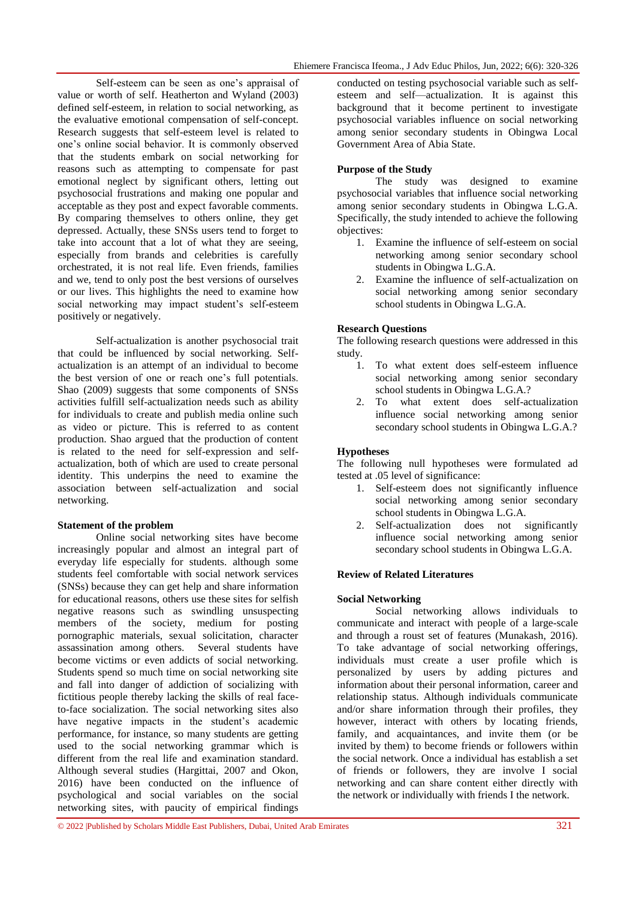Self-esteem can be seen as one's appraisal of value or worth of self. Heatherton and Wyland (2003) defined self-esteem, in relation to social networking, as the evaluative emotional compensation of self-concept. Research suggests that self-esteem level is related to one's online social behavior. It is commonly observed that the students embark on social networking for reasons such as attempting to compensate for past emotional neglect by significant others, letting out psychosocial frustrations and making one popular and acceptable as they post and expect favorable comments. By comparing themselves to others online, they get depressed. Actually, these SNSs users tend to forget to take into account that a lot of what they are seeing, especially from brands and celebrities is carefully orchestrated, it is not real life. Even friends, families and we, tend to only post the best versions of ourselves or our lives. This highlights the need to examine how social networking may impact student's self-esteem positively or negatively.

Self-actualization is another psychosocial trait that could be influenced by social networking. Selfactualization is an attempt of an individual to become the best version of one or reach one's full potentials. Shao (2009) suggests that some components of SNSs activities fulfill self-actualization needs such as ability for individuals to create and publish media online such as video or picture. This is referred to as content production. Shao argued that the production of content is related to the need for self-expression and selfactualization, both of which are used to create personal identity. This underpins the need to examine the association between self-actualization and social networking.

#### **Statement of the problem**

Online social networking sites have become increasingly popular and almost an integral part of everyday life especially for students. although some students feel comfortable with social network services (SNSs) because they can get help and share information for educational reasons, others use these sites for selfish negative reasons such as swindling unsuspecting members of the society, medium for posting pornographic materials, sexual solicitation, character assassination among others. Several students have become victims or even addicts of social networking. Students spend so much time on social networking site and fall into danger of addiction of socializing with fictitious people thereby lacking the skills of real faceto-face socialization. The social networking sites also have negative impacts in the student's academic performance, for instance, so many students are getting used to the social networking grammar which is different from the real life and examination standard. Although several studies (Hargittai, 2007 and Okon, 2016) have been conducted on the influence of psychological and social variables on the social networking sites, with paucity of empirical findings

conducted on testing psychosocial variable such as selfesteem and self—actualization. It is against this background that it become pertinent to investigate psychosocial variables influence on social networking among senior secondary students in Obingwa Local Government Area of Abia State.

## **Purpose of the Study**

The study was designed to examine psychosocial variables that influence social networking among senior secondary students in Obingwa L.G.A. Specifically, the study intended to achieve the following objectives:

- 1. Examine the influence of self-esteem on social networking among senior secondary school students in Obingwa L.G.A.
- 2. Examine the influence of self-actualization on social networking among senior secondary school students in Obingwa L.G.A.

## **Research Questions**

The following research questions were addressed in this study.

- 1. To what extent does self-esteem influence social networking among senior secondary school students in Obingwa L.G.A.?
- 2. To what extent does self-actualization influence social networking among senior secondary school students in Obingwa L.G.A.?

## **Hypotheses**

The following null hypotheses were formulated ad tested at .05 level of significance:

- 1. Self-esteem does not significantly influence social networking among senior secondary school students in Obingwa L.G.A.
- 2. Self-actualization does not significantly influence social networking among senior secondary school students in Obingwa L.G.A.

## **Review of Related Literatures**

## **Social Networking**

Social networking allows individuals to communicate and interact with people of a large-scale and through a roust set of features (Munakash, 2016). To take advantage of social networking offerings, individuals must create a user profile which is personalized by users by adding pictures and information about their personal information, career and relationship status. Although individuals communicate and/or share information through their profiles, they however, interact with others by locating friends, family, and acquaintances, and invite them (or be invited by them) to become friends or followers within the social network. Once a individual has establish a set of friends or followers, they are involve I social networking and can share content either directly with the network or individually with friends I the network.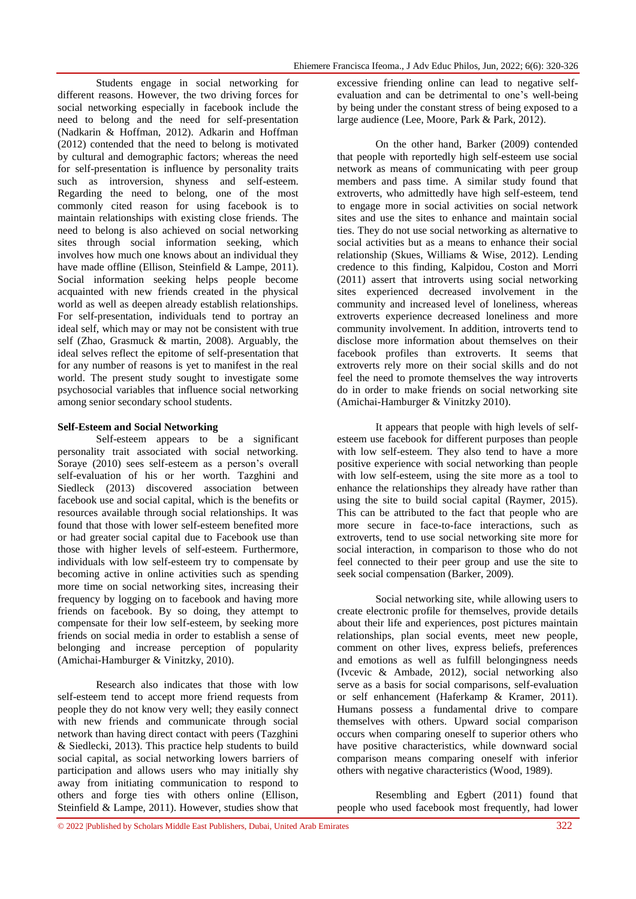Students engage in social networking for different reasons. However, the two driving forces for social networking especially in facebook include the need to belong and the need for self-presentation (Nadkarin & Hoffman, 2012). Adkarin and Hoffman (2012) contended that the need to belong is motivated by cultural and demographic factors; whereas the need for self-presentation is influence by personality traits such as introversion, shyness and self-esteem. Regarding the need to belong, one of the most commonly cited reason for using facebook is to maintain relationships with existing close friends. The need to belong is also achieved on social networking sites through social information seeking, which involves how much one knows about an individual they have made offline (Ellison, Steinfield & Lampe, 2011). Social information seeking helps people become acquainted with new friends created in the physical world as well as deepen already establish relationships. For self-presentation, individuals tend to portray an ideal self, which may or may not be consistent with true self (Zhao, Grasmuck & martin, 2008). Arguably, the ideal selves reflect the epitome of self-presentation that for any number of reasons is yet to manifest in the real world. The present study sought to investigate some psychosocial variables that influence social networking among senior secondary school students.

#### **Self-Esteem and Social Networking**

Self-esteem appears to be a significant personality trait associated with social networking. Soraye (2010) sees self-esteem as a person's overall self-evaluation of his or her worth. Tazghini and Siedleck (2013) discovered association between facebook use and social capital, which is the benefits or resources available through social relationships. It was found that those with lower self-esteem benefited more or had greater social capital due to Facebook use than those with higher levels of self-esteem. Furthermore, individuals with low self-esteem try to compensate by becoming active in online activities such as spending more time on social networking sites, increasing their frequency by logging on to facebook and having more friends on facebook. By so doing, they attempt to compensate for their low self-esteem, by seeking more friends on social media in order to establish a sense of belonging and increase perception of popularity (Amichai-Hamburger & Vinitzky, 2010).

Research also indicates that those with low self-esteem tend to accept more friend requests from people they do not know very well; they easily connect with new friends and communicate through social network than having direct contact with peers (Tazghini & Siedlecki, 2013). This practice help students to build social capital, as social networking lowers barriers of participation and allows users who may initially shy away from initiating communication to respond to others and forge ties with others online (Ellison, Steinfield & Lampe, 2011). However, studies show that

excessive friending online can lead to negative selfevaluation and can be detrimental to one's well-being by being under the constant stress of being exposed to a large audience (Lee, Moore, Park & Park, 2012).

On the other hand, Barker (2009) contended that people with reportedly high self-esteem use social network as means of communicating with peer group members and pass time. A similar study found that extroverts, who admittedly have high self-esteem, tend to engage more in social activities on social network sites and use the sites to enhance and maintain social ties. They do not use social networking as alternative to social activities but as a means to enhance their social relationship (Skues, Williams & Wise, 2012). Lending credence to this finding, Kalpidou, Coston and Morri (2011) assert that introverts using social networking sites experienced decreased involvement in the community and increased level of loneliness, whereas extroverts experience decreased loneliness and more community involvement. In addition, introverts tend to disclose more information about themselves on their facebook profiles than extroverts. It seems that extroverts rely more on their social skills and do not feel the need to promote themselves the way introverts do in order to make friends on social networking site (Amichai-Hamburger & Vinitzky 2010).

It appears that people with high levels of selfesteem use facebook for different purposes than people with low self-esteem. They also tend to have a more positive experience with social networking than people with low self-esteem, using the site more as a tool to enhance the relationships they already have rather than using the site to build social capital (Raymer, 2015). This can be attributed to the fact that people who are more secure in face-to-face interactions, such as extroverts, tend to use social networking site more for social interaction, in comparison to those who do not feel connected to their peer group and use the site to seek social compensation (Barker, 2009).

Social networking site, while allowing users to create electronic profile for themselves, provide details about their life and experiences, post pictures maintain relationships, plan social events, meet new people, comment on other lives, express beliefs, preferences and emotions as well as fulfill belongingness needs (Ivcevic & Ambade, 2012), social networking also serve as a basis for social comparisons, self-evaluation or self enhancement (Haferkamp & Kramer, 2011). Humans possess a fundamental drive to compare themselves with others. Upward social comparison occurs when comparing oneself to superior others who have positive characteristics, while downward social comparison means comparing oneself with inferior others with negative characteristics (Wood, 1989).

Resembling and Egbert (2011) found that people who used facebook most frequently, had lower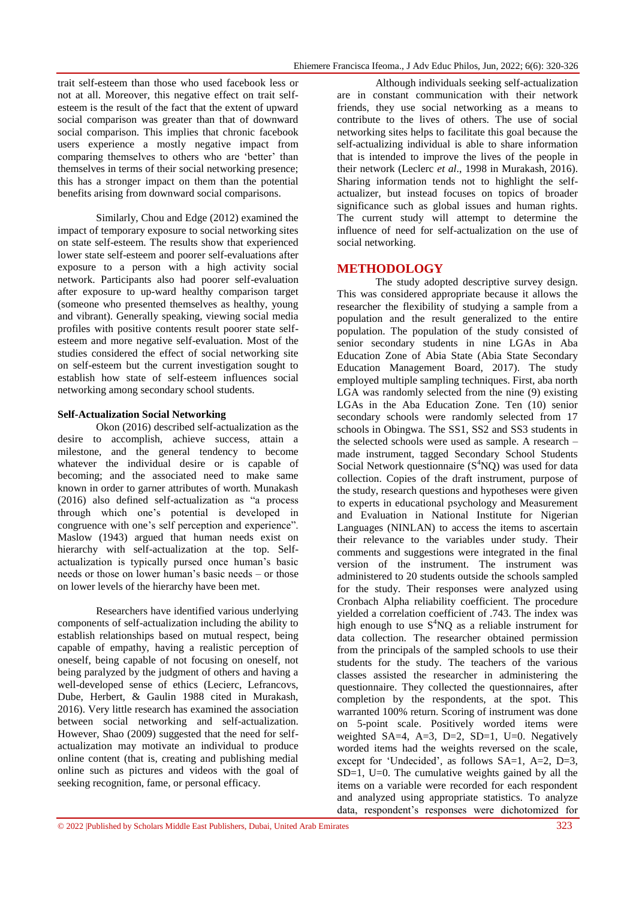trait self-esteem than those who used facebook less or not at all. Moreover, this negative effect on trait selfesteem is the result of the fact that the extent of upward social comparison was greater than that of downward social comparison. This implies that chronic facebook users experience a mostly negative impact from comparing themselves to others who are 'better' than themselves in terms of their social networking presence; this has a stronger impact on them than the potential benefits arising from downward social comparisons.

Similarly, Chou and Edge (2012) examined the impact of temporary exposure to social networking sites on state self-esteem. The results show that experienced lower state self-esteem and poorer self-evaluations after exposure to a person with a high activity social network. Participants also had poorer self-evaluation after exposure to up-ward healthy comparison target (someone who presented themselves as healthy, young and vibrant). Generally speaking, viewing social media profiles with positive contents result poorer state selfesteem and more negative self-evaluation. Most of the studies considered the effect of social networking site on self-esteem but the current investigation sought to establish how state of self-esteem influences social networking among secondary school students.

## **Self-Actualization Social Networking**

Okon (2016) described self-actualization as the desire to accomplish, achieve success, attain a milestone, and the general tendency to become whatever the individual desire or is capable of becoming; and the associated need to make same known in order to garner attributes of worth. Munakash  $(2016)$  also defined self-actualization as "a process" through which one's potential is developed in congruence with one's self perception and experience". Maslow (1943) argued that human needs exist on hierarchy with self-actualization at the top. Selfactualization is typically pursed once human's basic needs or those on lower human's basic needs – or those on lower levels of the hierarchy have been met.

Researchers have identified various underlying components of self-actualization including the ability to establish relationships based on mutual respect, being capable of empathy, having a realistic perception of oneself, being capable of not focusing on oneself, not being paralyzed by the judgment of others and having a well-developed sense of ethics (Lecierc, Lefrancovs, Dube, Herbert, & Gaulin 1988 cited in Murakash, 2016). Very little research has examined the association between social networking and self-actualization. However, Shao (2009) suggested that the need for selfactualization may motivate an individual to produce online content (that is, creating and publishing medial online such as pictures and videos with the goal of seeking recognition, fame, or personal efficacy.

Although individuals seeking self-actualization are in constant communication with their network friends, they use social networking as a means to contribute to the lives of others. The use of social networking sites helps to facilitate this goal because the self-actualizing individual is able to share information that is intended to improve the lives of the people in their network (Leclerc *et al*., 1998 in Murakash, 2016). Sharing information tends not to highlight the selfactualizer, but instead focuses on topics of broader significance such as global issues and human rights. The current study will attempt to determine the influence of need for self-actualization on the use of social networking.

## **METHODOLOGY**

The study adopted descriptive survey design. This was considered appropriate because it allows the researcher the flexibility of studying a sample from a population and the result generalized to the entire population. The population of the study consisted of senior secondary students in nine LGAs in Aba Education Zone of Abia State (Abia State Secondary Education Management Board, 2017). The study employed multiple sampling techniques. First, aba north LGA was randomly selected from the nine (9) existing LGAs in the Aba Education Zone. Ten (10) senior secondary schools were randomly selected from 17 schools in Obingwa. The SS1, SS2 and SS3 students in the selected schools were used as sample. A research – made instrument, tagged Secondary School Students Social Network questionnaire  $(S<sup>4</sup>NO)$  was used for data collection. Copies of the draft instrument, purpose of the study, research questions and hypotheses were given to experts in educational psychology and Measurement and Evaluation in National Institute for Nigerian Languages (NINLAN) to access the items to ascertain their relevance to the variables under study. Their comments and suggestions were integrated in the final version of the instrument. The instrument was administered to 20 students outside the schools sampled for the study. Their responses were analyzed using Cronbach Alpha reliability coefficient. The procedure yielded a correlation coefficient of .743. The index was high enough to use  $S<sup>4</sup>NO$  as a reliable instrument for data collection. The researcher obtained permission from the principals of the sampled schools to use their students for the study. The teachers of the various classes assisted the researcher in administering the questionnaire. They collected the questionnaires, after completion by the respondents, at the spot. This warranted 100% return. Scoring of instrument was done on 5-point scale. Positively worded items were weighted SA=4, A=3, D=2, SD=1, U=0. Negatively worded items had the weights reversed on the scale, except for 'Undecided', as follows  $SA=1$ ,  $A=2$ ,  $D=3$ ,  $SD=1$ ,  $U=0$ . The cumulative weights gained by all the items on a variable were recorded for each respondent and analyzed using appropriate statistics. To analyze data, respondent's responses were dichotomized for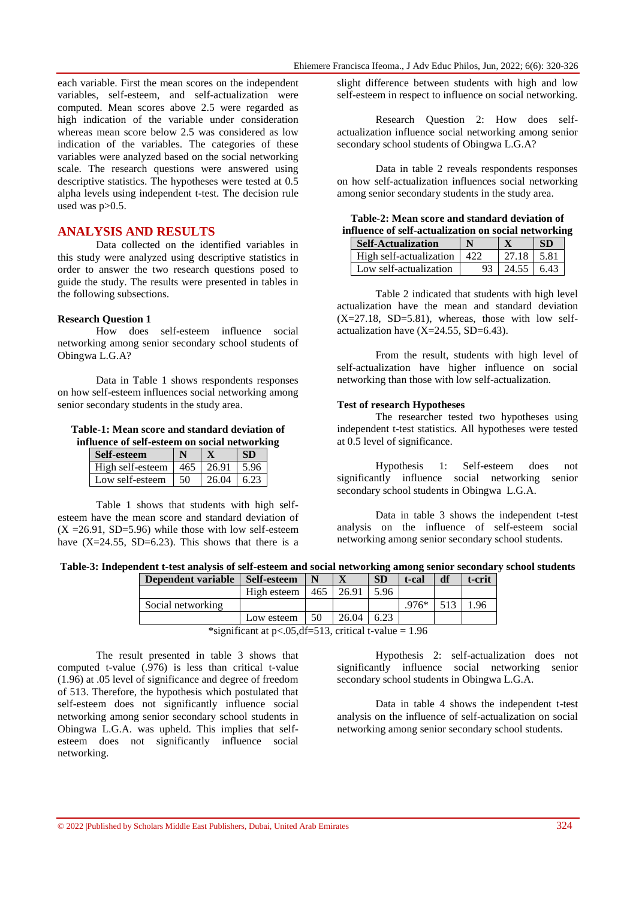each variable. First the mean scores on the independent variables, self-esteem, and self-actualization were computed. Mean scores above 2.5 were regarded as high indication of the variable under consideration whereas mean score below 2.5 was considered as low indication of the variables. The categories of these variables were analyzed based on the social networking scale. The research questions were answered using descriptive statistics. The hypotheses were tested at 0.5 alpha levels using independent t-test. The decision rule used was  $p > 0.5$ .

### **ANALYSIS AND RESULTS**

Data collected on the identified variables in this study were analyzed using descriptive statistics in order to answer the two research questions posed to guide the study. The results were presented in tables in the following subsections.

#### **Research Question 1**

How does self-esteem influence social networking among senior secondary school students of Obingwa L.G.A?

Data in Table 1 shows respondents responses on how self-esteem influences social networking among senior secondary students in the study area.

**Table-1: Mean score and standard deviation of influence of self-esteem on social networking**

| Self-esteem      |     |       |  |
|------------------|-----|-------|--|
| High self-esteem | 465 | 26.91 |  |
| Low self-esteem  | 50  | 26.04 |  |

Table 1 shows that students with high selfesteem have the mean score and standard deviation of  $(X = 26.91, SD = 5.96)$  while those with low self-esteem have  $(X=24.55, SD=6.23)$ . This shows that there is a

slight difference between students with high and low self-esteem in respect to influence on social networking.

Research Question 2: How does selfactualization influence social networking among senior secondary school students of Obingwa L.G.A?

Data in table 2 reveals respondents responses on how self-actualization influences social networking among senior secondary students in the study area.

**Table-2: Mean score and standard deviation of influence of self-actualization on social networking**

| <b>Self-Actualization</b> |             |                  |         |
|---------------------------|-------------|------------------|---------|
| High self-actualization   | $\Delta$ 22 | 27.18            | $-5.81$ |
| Low self-actualization    | 93          | $24.55 \pm 6.43$ |         |

Table 2 indicated that students with high level actualization have the mean and standard deviation  $(X=27.18, SD=5.81)$ , whereas, those with low selfactualization have  $(X=24.55, SD=6.43)$ .

From the result, students with high level of self-actualization have higher influence on social networking than those with low self-actualization.

#### **Test of research Hypotheses**

The researcher tested two hypotheses using independent t-test statistics. All hypotheses were tested at 0.5 level of significance.

Hypothesis 1: Self-esteem does not significantly influence social networking senior secondary school students in Obingwa L.G.A.

Data in table 3 shows the independent t-test analysis on the influence of self-esteem social networking among senior secondary school students.

**Table-3: Independent t-test analysis of self-esteem and social networking among senior secondary school students**

| Dependent variable | <b>Self-esteem</b> |     |       | <b>SD</b> | t-cal   | df | t-crit |
|--------------------|--------------------|-----|-------|-----------|---------|----|--------|
|                    | High esteem        | 465 | 26.91 | 5.96      |         |    |        |
| Social networking  |                    |     |       |           | $.976*$ |    | .96    |
|                    | Low esteem         | 50  | 26.04 | 6.23      |         |    |        |

\*significant at  $p < .05$ , df=513, critical t-value = 1.96

The result presented in table 3 shows that computed t-value (.976) is less than critical t-value (1.96) at .05 level of significance and degree of freedom of 513. Therefore, the hypothesis which postulated that self-esteem does not significantly influence social networking among senior secondary school students in Obingwa L.G.A. was upheld. This implies that selfesteem does not significantly influence social networking.

Hypothesis 2: self-actualization does not significantly influence social networking senior secondary school students in Obingwa L.G.A.

Data in table 4 shows the independent t-test analysis on the influence of self-actualization on social networking among senior secondary school students.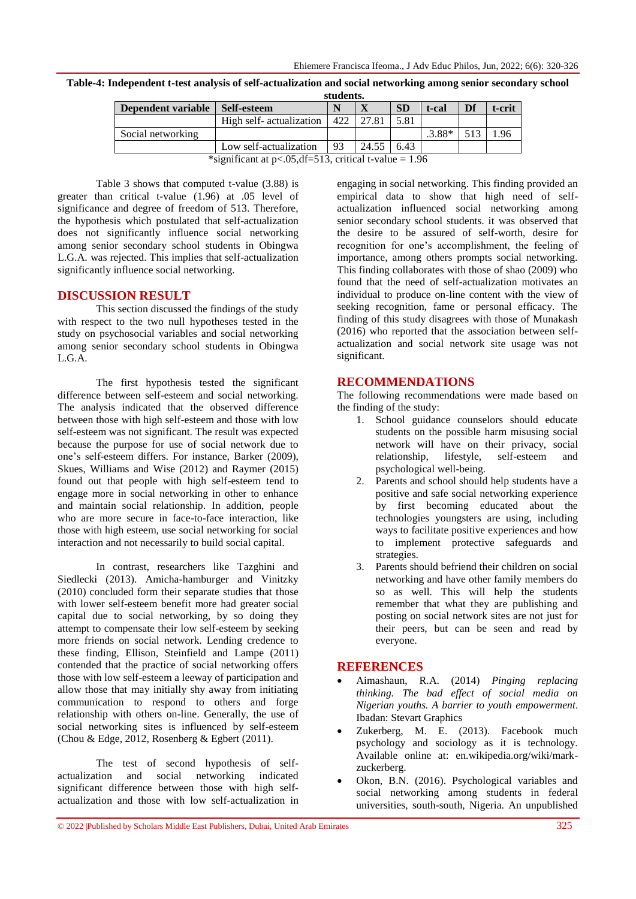| stuuciits.                                                                                                                                                                                                                                                                                                                                                    |                          |     |       |           |          |    |        |
|---------------------------------------------------------------------------------------------------------------------------------------------------------------------------------------------------------------------------------------------------------------------------------------------------------------------------------------------------------------|--------------------------|-----|-------|-----------|----------|----|--------|
| Dependent variable                                                                                                                                                                                                                                                                                                                                            | Self-esteem              |     |       | <b>SD</b> | t-cal    | Df | t-crit |
|                                                                                                                                                                                                                                                                                                                                                               | High self- actualization | 422 | 27.81 | 5.81      |          |    |        |
| Social networking                                                                                                                                                                                                                                                                                                                                             |                          |     |       |           | $.3.88*$ |    |        |
|                                                                                                                                                                                                                                                                                                                                                               | Low self-actualization   |     | 24.55 | 6.43      |          |    |        |
| $\omega$ . $\alpha$ . $\alpha$ . $\alpha$ . $\alpha$ . $\alpha$ . $\alpha$ . $\alpha$ . $\alpha$ . $\alpha$ . $\alpha$ . $\alpha$ . $\alpha$ . $\alpha$ . $\alpha$ . $\alpha$ . $\alpha$ . $\alpha$ . $\alpha$ . $\alpha$ . $\alpha$ . $\alpha$ . $\alpha$ . $\alpha$ . $\alpha$ . $\alpha$ . $\alpha$ . $\alpha$ . $\alpha$ . $\alpha$ . $\alpha$ . $\alpha$ |                          |     |       |           |          |    |        |

**Table-4: Independent t-test analysis of self-actualization and social networking among senior secondary school students.**

\*significant at  $p < .05$ , df=513, critical t-value = 1.96

Table 3 shows that computed t-value (3.88) is greater than critical t-value (1.96) at .05 level of significance and degree of freedom of 513. Therefore, the hypothesis which postulated that self-actualization does not significantly influence social networking among senior secondary school students in Obingwa L.G.A. was rejected. This implies that self-actualization significantly influence social networking.

## **DISCUSSION RESULT**

This section discussed the findings of the study with respect to the two null hypotheses tested in the study on psychosocial variables and social networking among senior secondary school students in Obingwa L.G.A.

The first hypothesis tested the significant difference between self-esteem and social networking. The analysis indicated that the observed difference between those with high self-esteem and those with low self-esteem was not significant. The result was expected because the purpose for use of social network due to one's self-esteem differs. For instance, Barker (2009), Skues, Williams and Wise (2012) and Raymer (2015) found out that people with high self-esteem tend to engage more in social networking in other to enhance and maintain social relationship. In addition, people who are more secure in face-to-face interaction, like those with high esteem, use social networking for social interaction and not necessarily to build social capital.

In contrast, researchers like Tazghini and Siedlecki (2013). Amicha-hamburger and Vinitzky (2010) concluded form their separate studies that those with lower self-esteem benefit more had greater social capital due to social networking, by so doing they attempt to compensate their low self-esteem by seeking more friends on social network. Lending credence to these finding, Ellison, Steinfield and Lampe (2011) contended that the practice of social networking offers those with low self-esteem a leeway of participation and allow those that may initially shy away from initiating communication to respond to others and forge relationship with others on-line. Generally, the use of social networking sites is influenced by self-esteem (Chou & Edge, 2012, Rosenberg & Egbert (2011).

The test of second hypothesis of selfactualization and social networking indicated significant difference between those with high selfactualization and those with low self-actualization in engaging in social networking. This finding provided an empirical data to show that high need of selfactualization influenced social networking among senior secondary school students. it was observed that the desire to be assured of self-worth, desire for recognition for one's accomplishment, the feeling of importance, among others prompts social networking. This finding collaborates with those of shao (2009) who found that the need of self-actualization motivates an individual to produce on-line content with the view of seeking recognition, fame or personal efficacy. The finding of this study disagrees with those of Munakash (2016) who reported that the association between selfactualization and social network site usage was not significant.

## **RECOMMENDATIONS**

The following recommendations were made based on the finding of the study:

- 1. School guidance counselors should educate students on the possible harm misusing social network will have on their privacy, social relationship, lifestyle, self-esteem and psychological well-being.
- 2. Parents and school should help students have a positive and safe social networking experience by first becoming educated about the technologies youngsters are using, including ways to facilitate positive experiences and how to implement protective safeguards and strategies.
- 3. Parents should befriend their children on social networking and have other family members do so as well. This will help the students remember that what they are publishing and posting on social network sites are not just for their peers, but can be seen and read by everyone.

## **REFERENCES**

- Aimashaun, R.A. (2014) *Pinging replacing thinking. The bad effect of social media on Nigerian youths. A barrier to youth empowerment*. Ibadan: Stevart Graphics
- Zukerberg, M. E. (2013). Facebook much psychology and sociology as it is technology. Available online at: en.wikipedia.org/wiki/markzuckerberg.
- Okon, B.N. (2016). Psychological variables and social networking among students in federal universities, south-south, Nigeria. An unpublished